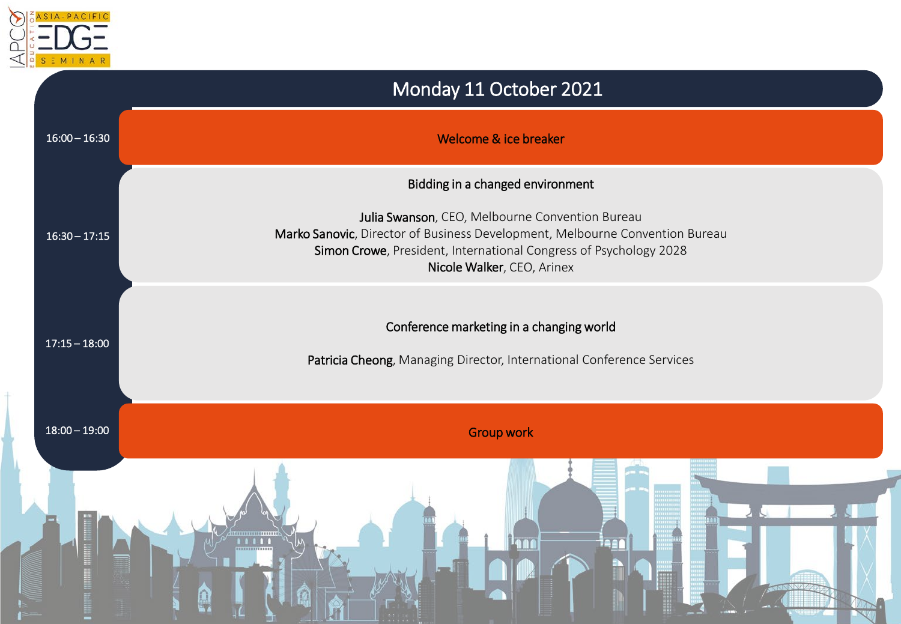

## Monday 11 October 2021 16:00 – 16:30 Welcome & ice breaker Bidding in a changed environment Julia Swanson, CEO, Melbourne Convention Bureau Marko Sanovic, Director of Business Development, Melbourne Convention Bureau Simon Crowe, President, International Congress of Psychology 2028 Nicole Walker, CEO, Arinex 16:30 – 17:15 17:15 – 18:00 18:00 – 19:00 Conference marketing in a changing world Patricia Cheong, Managing Director, International Conference Services Group work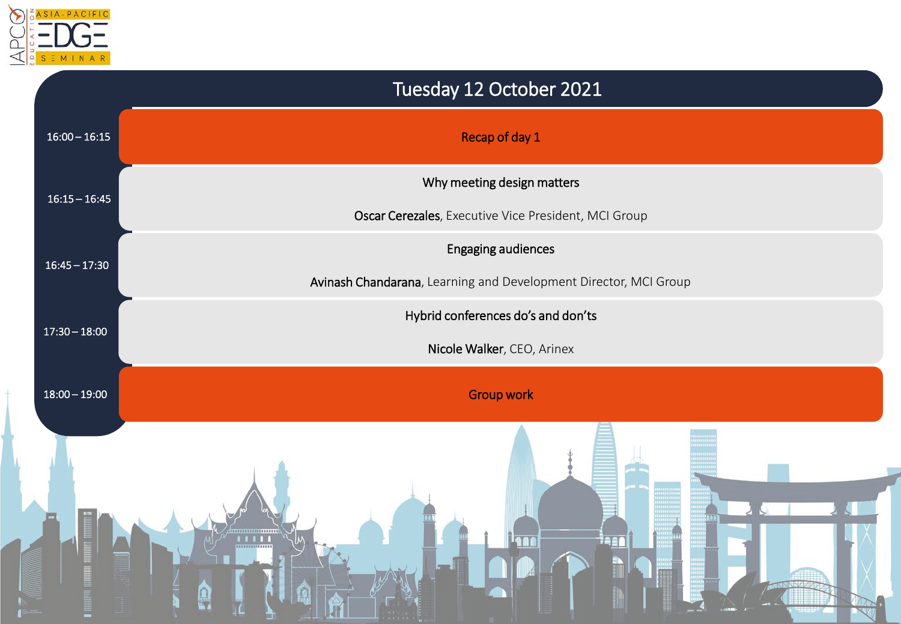

|                 | Tuesday 12 October 2021                                                                       |
|-----------------|-----------------------------------------------------------------------------------------------|
| $16:00 - 16:15$ | Recap of day 1                                                                                |
| $16:15 - 16:45$ | Why meeting design matters<br>Oscar Cerezales, Executive Vice President, MCI Group            |
| $16:45 - 17:30$ | <b>Engaging audiences</b><br>Avinash Chandarana, Learning and Development Director, MCI Group |
| $17:30 - 18:00$ | Hybrid conferences do's and don'ts<br>Nicole Walker, CEO, Arinex                              |
| $18:00 - 19:00$ | <b>Group work</b>                                                                             |
|                 | een                                                                                           |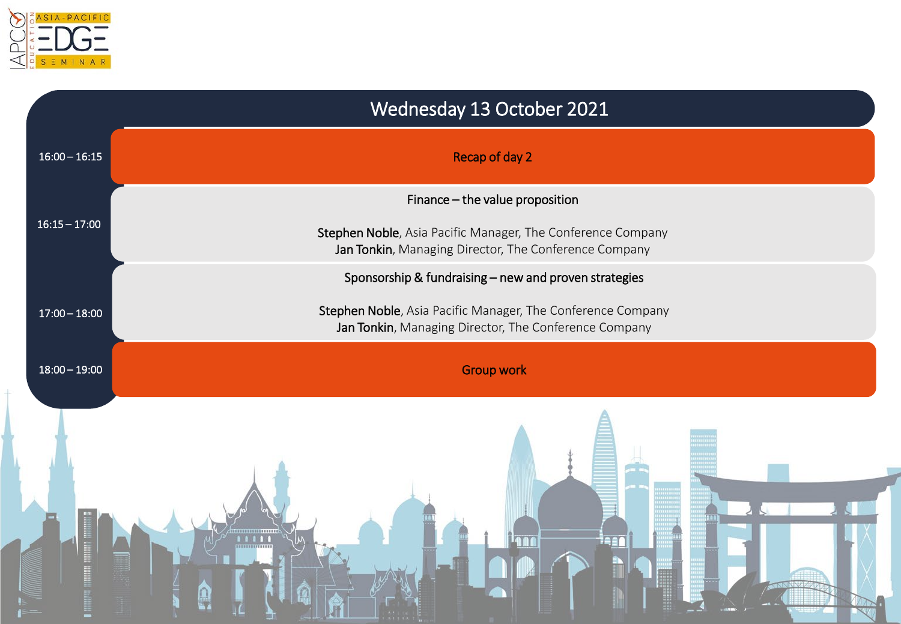